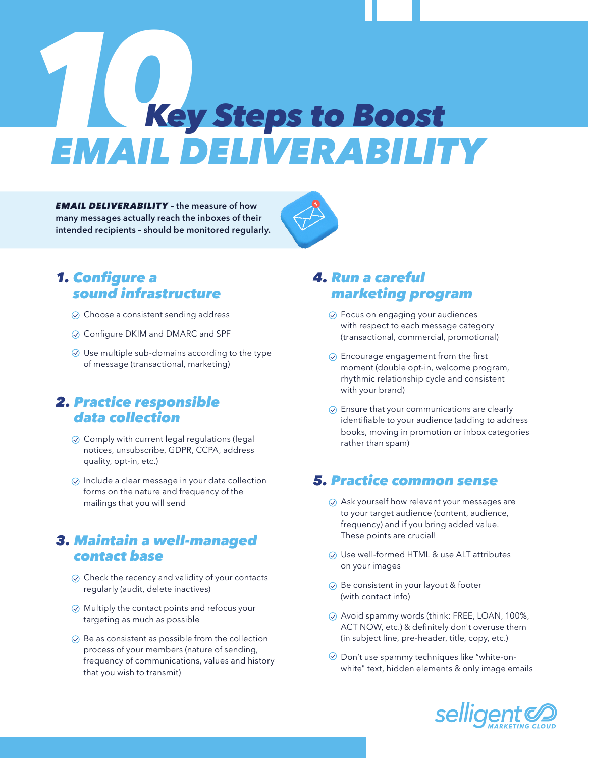# *10 EMAIL DELIVERABILITY* Key Steps to Boost

*EMAIL DELIVERABILITY* – the measure of how many messages actually reach the inboxes of their intended recipients – should be monitored regularly.



## *1.* Configure a sound infrastructure

- $\odot$  Choose a consistent sending address
- **⊘** Configure DKIM and DMARC and SPF
- $\odot$  Use multiple sub-domains according to the type of message (transactional, marketing)

#### *2.* Practice responsible data collection

- $\odot$  Comply with current legal regulations (legal notices, unsubscribe, GDPR, CCPA, address quality, opt-in, etc.)
- $\odot$  Include a clear message in your data collection forms on the nature and frequency of the mailings that you will send

## *3.* Maintain a well-managed contact base

- $\odot$  Check the recency and validity of your contacts regularly (audit, delete inactives)
- Multiply the contact points and refocus your targeting as much as possible
- $\odot$  Be as consistent as possible from the collection process of your members (nature of sending, frequency of communications, values and history that you wish to transmit)

## *4.* Run a careful marketing program

- Focus on engaging your audiences with respect to each message category (transactional, commercial, promotional)
- $\odot$  Encourage engagement from the first moment (double opt-in, welcome program, rhythmic relationship cycle and consistent with your brand)
- $\odot$  Ensure that your communications are clearly identifiable to your audience (adding to address books, moving in promotion or inbox categories rather than spam)

## *5.* Practice common sense

- $\odot$  Ask yourself how relevant your messages are to your target audience (content, audience, frequency) and if you bring added value. These points are crucial!
- Use well-formed HTML & use ALT attributes on your images
- $\oslash$  Be consistent in your layout & footer (with contact info)
- Avoid spammy words (think: FREE, LOAN, 100%, ACT NOW, etc.) & definitely don't overuse them (in subject line, pre-header, title, copy, etc.)
- $\odot$  Don't use spammy techniques like "white-onwhite" text, hidden elements & only image emails